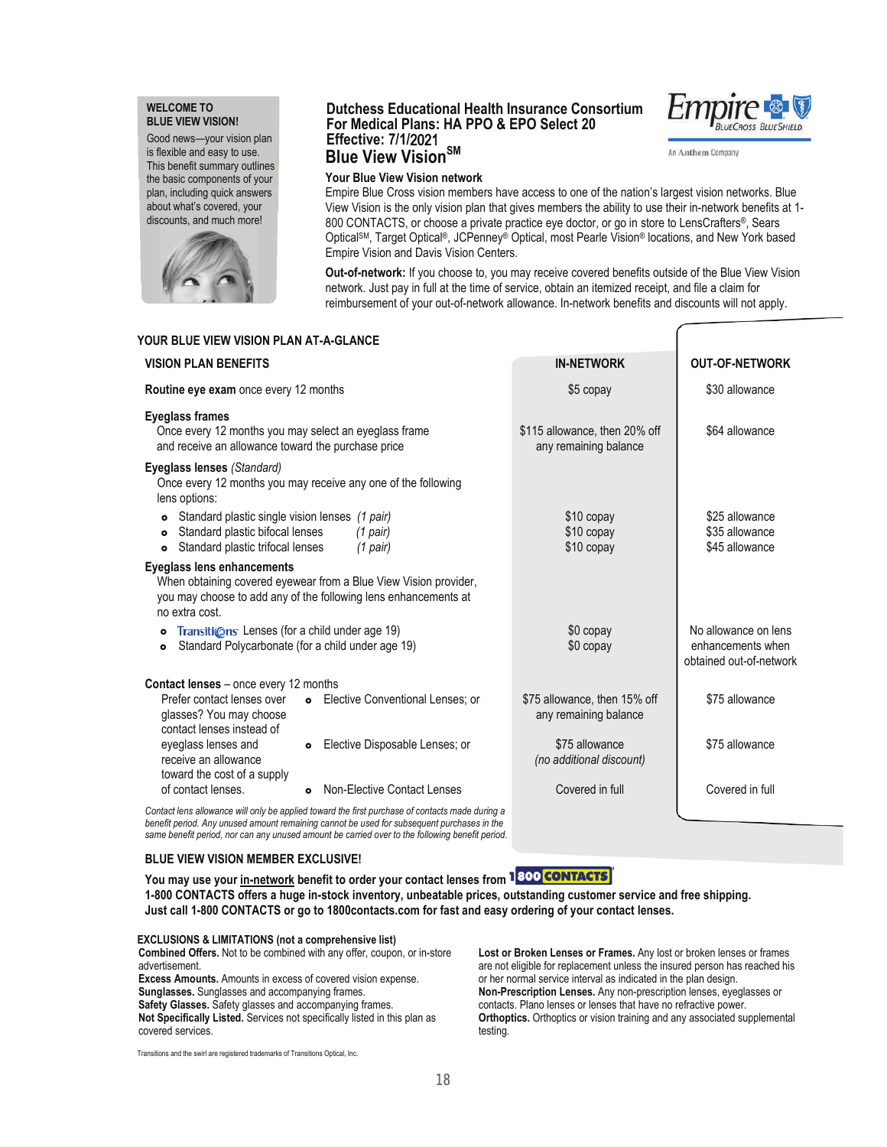## **WELCOME TO BLUE VIEW VISION!**

Good news—your vision plan is flexible and easy to use. This benefit summary outlines the basic components of your plan, including quick answers about what's covered, your discounts, and much more!



## **Dutchess Educational Health Insurance Consortium For Medical Plans: HA PPO & EPO Select 20 Effective: 7/1/**2021 **Blue View VisionSM**



An Anthem Company

## **Your Blue View Vision network**

Empire Blue Cross vision members have access to one of the nation's largest vision networks. Blue View Vision is the only vision plan that gives members the ability to use their in-network benefits at 1- 800 CONTACTS, or choose a private practice eye doctor, or go in store to LensCrafters®, Sears OpticalSM, Target Optical®, JCPenney® Optical, most Pearle Vision® locations, and New York based Empire Vision and Davis Vision Centers.

**Out-of-network:** If you choose to, you may receive covered benefits outside of the Blue View Vision network. Just pay in full at the time of service, obtain an itemized receipt, and file a claim for reimbursement of your out-of-network allowance. In-network benefits and discounts will not apply.

| YOUR BLUE VIEW VISION PLAN AT-A-GLANCE                                                                                                                                                   |                                                                                                                                                                                               |                                                        |                                                                      |
|------------------------------------------------------------------------------------------------------------------------------------------------------------------------------------------|-----------------------------------------------------------------------------------------------------------------------------------------------------------------------------------------------|--------------------------------------------------------|----------------------------------------------------------------------|
| <b>VISION PLAN BENEFITS</b>                                                                                                                                                              |                                                                                                                                                                                               | <b>IN-NETWORK</b>                                      | <b>OUT-OF-NETWORK</b>                                                |
| Routine eye exam once every 12 months                                                                                                                                                    |                                                                                                                                                                                               | \$5 copay                                              | \$30 allowance                                                       |
| <b>Eyeglass frames</b><br>Once every 12 months you may select an eyeglass frame<br>and receive an allowance toward the purchase price                                                    |                                                                                                                                                                                               | \$115 allowance, then 20% off<br>any remaining balance | \$64 allowance                                                       |
| Eyeglass lenses (Standard)<br>lens options:                                                                                                                                              | Once every 12 months you may receive any one of the following                                                                                                                                 |                                                        |                                                                      |
| Standard plastic single vision lenses (1 pair)<br>$\bullet$<br>Standard plastic bifocal lenses<br>$(1$ pair)<br>$\bullet$<br>Standard plastic trifocal lenses<br>$(1$ pair)<br>$\bullet$ |                                                                                                                                                                                               | \$10 copay<br>\$10 copay<br>\$10 copay                 | \$25 allowance<br>\$35 allowance<br>\$45 allowance                   |
| <b>Eyeglass lens enhancements</b><br>no extra cost.                                                                                                                                      | When obtaining covered eyewear from a Blue View Vision provider,<br>you may choose to add any of the following lens enhancements at                                                           |                                                        |                                                                      |
| Transitions Lenses (for a child under age 19)<br>$\bullet$<br>Standard Polycarbonate (for a child under age 19)<br>$\bullet$                                                             |                                                                                                                                                                                               | \$0 copay<br>\$0 copay                                 | No allowance on lens<br>enhancements when<br>obtained out-of-network |
| <b>Contact lenses</b> – once every 12 months                                                                                                                                             |                                                                                                                                                                                               |                                                        |                                                                      |
| Prefer contact lenses over<br>glasses? You may choose<br>contact lenses instead of                                                                                                       | <b>o</b> Elective Conventional Lenses: or                                                                                                                                                     | \$75 allowance, then 15% off<br>any remaining balance  | \$75 allowance                                                       |
| eyeglass lenses and<br>receive an allowance<br>toward the cost of a supply                                                                                                               | • Elective Disposable Lenses; or                                                                                                                                                              | \$75 allowance<br>(no additional discount)             | \$75 allowance                                                       |
| of contact lenses.                                                                                                                                                                       | Non-Elective Contact Lenses<br>$\bullet$                                                                                                                                                      | Covered in full                                        | Covered in full                                                      |
|                                                                                                                                                                                          | Contact lens allowance will only be applied toward the first purchase of contacts made during a<br>benefit period. Any unused amount remaining cannot be used for subsequent purchases in the |                                                        |                                                                      |

**BLUE VIEW VISION MEMBER EXCLUSIVE!**

**You may use your in-network benefit to order your contact lenses from 1-800 CONTACTS offers a huge in-stock inventory, unbeatable prices, outstanding customer service and free shipping. Just call 1-800 CONTACTS or go to 1800contacts.com for fast and easy ordering of your contact lenses.**

**EXCLUSIONS & LIMITATIONS (not a comprehensive list) Combined Offers.** Not to be combined with any offer, coupon, or in-store advertisement. **Excess Amounts.** Amounts in excess of covered vision expense. **Sunglasses.** Sunglasses and accompanying frames. **Safety Glasses.** Safety glasses and accompanying frames. **Not Specifically Listed.** Services not specifically listed in this plan as covered services.

*same benefit period, nor can any unused amount be carried over to the following benefit period.*

**Lost or Broken Lenses or Frames.** Any lost or broken lenses or frames are not eligible for replacement unless the insured person has reached his or her normal service interval as indicated in the plan design. **Non-Prescription Lenses.** Any non-prescription lenses, eyeglasses or contacts. Plano lenses or lenses that have no refractive power. **Orthoptics.** Orthoptics or vision training and any associated supplemental testing.

Transitions and the swirl are registered trademarks of Transitions Optical, Inc.